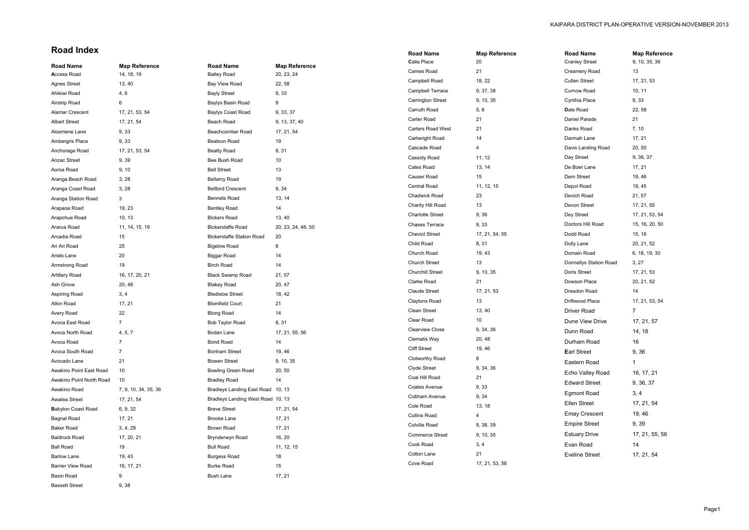## **Road Index**

| <b>Road Name</b>          | <b>Map Reference</b> | <b>Road Name</b>                  | <b>Map Reference</b> | Calla Place              | 20             |
|---------------------------|----------------------|-----------------------------------|----------------------|--------------------------|----------------|
| <b>Access Road</b>        | 14, 18, 19           | <b>Batley Road</b>                | 20, 23, 24           | Cames Road               | 21             |
| <b>Agnes Street</b>       | 13, 40               | Bay View Road                     | 22, 58               | Campbell Road            | 18, 22         |
| Ahikiwi Road              | 4, 6                 | <b>Bayly Street</b>               | 9, 33                | Campbell Terrace         | 9, 37, 38      |
| Airstrip Road             | 6                    | Baylys Basin Road                 | 9                    | <b>Carrington Street</b> | 9, 10, 35      |
| Alamar Crescent           | 17, 21, 53, 54       | Baylys Coast Road                 | 9, 33, 37            | Carruth Road             | 5, 8           |
| <b>Albert Street</b>      | 17, 21, 54           | Beach Road                        | 9, 13, 37, 40        | Carter Road              | 21             |
| Alcemene Lane             | 9,33                 | Beachcomber Road                  | 17, 21, 54           | Carters Road West        | 21             |
| Ambergris Place           | 9, 33                | Beatson Road                      | $19$                 | Cartwright Road          | 14             |
| Anchorage Road            | 17, 21, 53, 54       | <b>Beatty Road</b>                | 8, 31                | Cascade Road             | $\overline{4}$ |
| Anzac Street              | 9,39                 | Bee Bush Road                     | $10\,$               | Cassidy Road             | 11, 12         |
| Aoroa Road                | 9, 10                | <b>Bell Street</b>                | 13                   | Cates Road               | 13, 14         |
| Aranga Beach Road         | 3, 28                | Bellamy Road                      | 19                   | <b>Causer Road</b>       | 15             |
| Aranga Coast Road         | 3, 28                | <b>Bellbird Crescent</b>          | 9, 34                | Central Road             | 11, 12, 15     |
| Aranga Station Road       | 3                    | <b>Bennets Road</b>               | 13, 14               | Chadwick Road            | 23             |
| Arapaoa Road              | 19, 23               | <b>Bentley Road</b>               | 14                   | Charity Hill Road        | 13             |
| Arapohue Road             | 10, 13               | <b>Bickers Road</b>               | 13, 40               | <b>Charlotte Street</b>  | 9,36           |
| Ararua Road               | 11, 14, 15, 19       | <b>Bickerstaffe Road</b>          | 20, 23, 24, 48, 50   | Chases Terrace           | 9,33           |
| Arcadia Road              | 15                   | <b>Bickerstaffe Station Road</b>  | 20                   | <b>Cheviot Street</b>    | 17, 21, 54, 55 |
| Ari Ari Road              | 25                   | <b>Bigelow Road</b>               | 8                    | Child Road               | 8,31           |
| Ariels Lane               | 20                   | <b>Biggar Road</b>                | 14                   | Church Road              | 19, 43         |
| Armstrong Road            | 19                   | <b>Birch Road</b>                 | 14                   | <b>Church Street</b>     | 13             |
| <b>Artillery Road</b>     | 16, 17, 20, 21       | <b>Black Swamp Road</b>           | 21, 57               | <b>Churchill Street</b>  | 9, 10, 35      |
| Ash Grove                 | 20, 48               | <b>Blakey Road</b>                | 20, 47               | Clarke Road              | 21             |
| Aspiring Road             | 3, 4                 | <b>Bledisloe Street</b>           | 18, 42               | <b>Claude Street</b>     | 17, 21, 53     |
| Atkin Road                | 17, 21               | <b>Blomfield Court</b>            | 21                   | <b>Claytons Road</b>     | 13             |
| Avery Road                | 22                   | <b>Blong Road</b>                 | 14                   | Clean Street             | 13, 40         |
| Avoca East Road           | $\overline{7}$       | Bob Taylor Road                   | 8, 31                | Clear Road               | 10             |
| Avoca North Road          | 4, 5, 7              | Bodan Lane                        | 17, 21, 55, 56       | <b>Clearview Close</b>   | 9, 34, 36      |
| Avoca Road                |                      | Bond Road                         | 14                   | Clematis Way             | 20, 48         |
| Avoca South Road          | 7                    | <b>Bonham Street</b>              | 19, 46               | <b>Cliff Street</b>      | 19, 46         |
| Avocado Lane              | 21                   | <b>Bowen Street</b>               | 9, 10, 35            | Clotworthy Road          | 8              |
| Awakino Point East Road   | 10                   | Bowling Green Road                | 20, 50               | Clyde Street             | 9, 34, 36      |
| Awakino Point North Road  | 10                   | <b>Bradley Road</b>               | 14                   | Coal Hill Road           | 21             |
| Awakino Road              | 7, 9, 10, 34, 35, 36 | Bradleys Landing East Road 10, 13 |                      | Coates Avenue            | 9,33           |
| Awatea Street             | 17, 21, 54           | Bradleys Landing West Road 10, 13 |                      | Cobham Avenue            | 9, 34          |
| <b>Babylon Coast Road</b> | 6, 9, 32             | <b>Breve Street</b>               | 17, 21, 54           | Cole Road                | 13, 18         |
| Bagnal Road               | 17, 21               | <b>Brooke Lane</b>                | 17, 21               | <b>Collins Road</b>      | 4              |
| <b>Baker Road</b>         | 3, 4, 29             | Brown Road                        | 17, 21               | Colville Road            | 9, 38, 39      |
| <b>Baldrock Road</b>      | 17, 20, 21           | Brynderwyn Road                   | 16, 20               | <b>Commerce Street</b>   | 9, 10, 35      |
| <b>Ball Road</b>          | 19                   | <b>Bull Road</b>                  | 11, 12, 15           | Cook Road                | 3, 4           |
| <b>Barlow Lane</b>        | 19, 43               | <b>Burgess Road</b>               | 18                   | Cotton Lane              | 21             |
| Barrier View Road         | 16, 17, 21           | <b>Burke Road</b>                 | 15                   | Cove Road                | 17, 21, 53, 56 |
| Basin Road                | 9                    | <b>Bush Lane</b>                  | 17, 21               |                          |                |
| <b>Bassett Street</b>     | 9,38                 |                                   |                      |                          |                |

| <b>Road Name</b> | <b>Map Reference</b> |
|------------------|----------------------|
|                  |                      |
|                  |                      |
|                  |                      |

| Road Name              | <b>Map Reference</b> |
|------------------------|----------------------|
| Cranley Street         | 9, 10, 35, 36        |
| Creamery Road          | 13                   |
| Cullen Street          | 17, 21, 53           |
| Curnow Road            | 10, 11               |
| Cynthia Place          | 9, 33                |
| Dale Road              | 22, 58               |
| Daniel Parade          | 21                   |
| Danks Road             | 7, 10                |
| Darmah Lane            | 17, 21               |
| Davis Landing Road     | 20,50                |
| Day Street             | 9, 36, 37            |
| De Boer Lane           | 17, 21               |
| Dem Street             | 19, 46               |
| Depot Road             | 19, 45               |
| Devich Road            | 21, 57               |
| Devon Street           | 17, 21, 55           |
| Dey Street             | 17, 21, 53, 54       |
| Doctors Hill Road      | 15, 16, 20, 50       |
| Dodd Road              | 15, 16               |
| Dolly Lane             | 20, 21, 52           |
| Domain Road            | 6, 18, 19, 30        |
| Donnellys Station Road | 3, 27                |
| Doris Street           | 17, 21, 53           |
| Dowson Place           | 20, 21, 52           |
| Dreadon Road           | 14                   |
| Driftwood Place        | 17, 21, 53, 54       |
| Driver Road            | 7                    |
| Dune View Drive        | 17, 21, 57           |
| Dunn Road              | 14, 18               |
| Durham Road            | 16                   |
| Earl Street            | 9,36                 |
| Eastern Road           | 1                    |
| Echo Valley Road       | 16, 17, 21           |
| Edward Street          | 9, 36, 37            |
| <b>Egmont Road</b>     | 3, 4                 |
| Ellen Street           | 17, 21, 54           |
| <b>Emay Crescent</b>   | 19, 46               |
| <b>Empire Street</b>   | 9,39                 |
| <b>Estuary Drive</b>   | 17, 21, 55, 56       |
| Evan Road              | 14                   |
|                        |                      |
| Eveline Street         | 17, 21, 54           |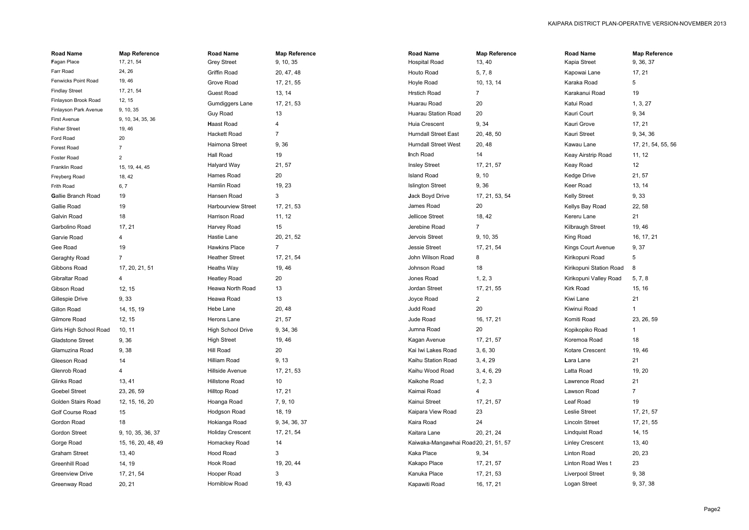| <b>Road Name</b>             | <b>Map Reference</b> | <b>Road Name</b>          | <b>Map Reference</b> | <b>Road Name</b>                      | <b>Map Reference</b> | <b>Road Name</b>        | <b>Map Reference</b> |
|------------------------------|----------------------|---------------------------|----------------------|---------------------------------------|----------------------|-------------------------|----------------------|
| Fagan Place                  | 17, 21, 54           | <b>Grey Street</b>        | 9, 10, 35            | <b>Hospital Road</b>                  | 13, 40               | Kapia Street            | 9, 36, 37            |
| Farr Road                    | 24, 26               | Griffin Road              | 20, 47, 48           | Houto Road                            | 5, 7, 8              | Kapowai Lane            | 17, 21               |
| <b>Fenwicks Point Road</b>   | 19, 46               | Grove Road                | 17, 21, 55           | Hoyle Road                            | 10, 13, 14           | Karaka Road             | 5                    |
| <b>Findlay Street</b>        | 17, 21, 54           | <b>Guest Road</b>         | 13, 14               | <b>Hrstich Road</b>                   |                      | Karakanui Road          | 19                   |
| Finlayson Brook Road         | 12, 15               | Gumdiggers Lane           | 17, 21, 53           | Huarau Road                           | 20                   | Katui Road              | 1, 3, 27             |
| Finlayson Park Avenue        | 9, 10, 35            | Guy Road                  | 13                   | <b>Huarau Station Road</b>            | 20                   | Kauri Court             | 9, 34                |
| First Avenue                 | 9, 10, 34, 35, 36    | <b>Haast Road</b>         | 4                    | Huia Crescent                         | 9, 34                | Kauri Grove             | 17, 21               |
| <b>Fisher Street</b>         | 19, 46               | Hackett Road              | $\overline{7}$       | <b>Hurndall Street East</b>           | 20, 48, 50           | Kauri Street            | 9, 34, 36            |
| Ford Road                    | 20                   | Haimona Street            | 9, 36                | <b>Hurndall Street West</b>           | 20, 48               | Kawau Lane              | 17, 21, 54, 55, 56   |
| Forest Road                  |                      | Hall Road                 | 19                   | Inch Road                             | 14                   | Keay Airstrip Road      | 11, 12               |
| Foster Road<br>Franklin Road | 2<br>15, 19, 44, 45  | Halyard Way               | 21, 57               | <b>Insley Street</b>                  | 17, 21, 57           | Keay Road               | 12                   |
| Freyberg Road                | 18, 42               | Hames Road                | 20                   | <b>Island Road</b>                    | 9, 10                | Kedge Drive             | 21, 57               |
| Frith Road                   | 6, 7                 | Hamlin Road               | 19, 23               | <b>Islington Street</b>               | 9,36                 | Keer Road               | 13, 14               |
| <b>Gallie Branch Road</b>    | 19                   | Hansen Road               | 3                    | Jack Boyd Drive                       | 17, 21, 53, 54       | <b>Kelly Street</b>     | 9, 33                |
| Gallie Road                  | 19                   | <b>Harbourview Street</b> | 17, 21, 53           | James Road                            | 20                   | Kellys Bay Road         | 22, 58               |
| Galvin Road                  | 18                   | Harrison Road             | 11, 12               | Jellicoe Street                       | 18, 42               | Kereru Lane             | 21                   |
| Garbolino Road               | 17, 21               | Harvey Road               | 15                   | Jerebine Road                         | $\overline{7}$       | Kilbraugh Street        | 19, 46               |
| Garvie Road                  | 4                    | Hastie Lane               | 20, 21, 52           | Jervois Street                        | 9, 10, 35            | King Road               | 16, 17, 21           |
| Gee Road                     | 19                   | Hawkins Place             | 7                    | Jessie Street                         | 17, 21, 54           | Kings Court Avenue      | 9, 37                |
| Geraghty Road                | $\overline{7}$       | <b>Heather Street</b>     | 17, 21, 54           | John Wilson Road                      | 8                    | Kirikopuni Road         | 5                    |
|                              |                      | Heaths Way                | 19, 46               | Johnson Road                          | 18                   | Kirikopuni Station Road | -8                   |
| Gibbons Road                 | 17, 20, 21, 51       | <b>Heatley Road</b>       | 20                   | Jones Road                            | 1, 2, 3              |                         |                      |
| Gibraltar Road               | 4                    |                           | 13                   |                                       |                      | Kirikopuni Valley Road  | 5, 7, 8              |
| Gibson Road                  | 12, 15               | Heawa North Road          |                      | Jordan Street                         | 17, 21, 55           | Kirk Road               | 15, 16               |
| Gillespie Drive              | 9,33                 | Heawa Road                | 13                   | Joyce Road                            | $\overline{a}$       | Kiwi Lane               | 21                   |
| Gillon Road                  | 14, 15, 19           | Hebe Lane                 | 20, 48               | Judd Road                             | 20                   | Kiwinui Road            |                      |
| Gilmore Road                 | 12, 15               | Herons Lane               | 21, 57               | Jude Road                             | 16, 17, 21           | Komiti Road             | 23, 26, 59           |
| Girls High School Road       | 10, 11               | High School Drive         | 9, 34, 36            | Jumna Road                            | 20                   | Kopikopiko Road         |                      |
| <b>Gladstone Street</b>      | 9,36                 | <b>High Street</b>        | 19, 46               | Kagan Avenue                          | 17, 21, 57           | Koremoa Road            | 18                   |
| Glamuzina Road               | 9,38                 | Hill Road                 | 20                   | Kai Iwi Lakes Road                    | 3, 6, 30             | Kotare Crescent         | 19, 46               |
| Gleeson Road                 | 14                   | Hilliam Road              | 9, 13                | Kaihu Station Road                    | 3, 4, 29             | Lara Lane               | 21                   |
| Glenrob Road                 | 4                    | Hillside Avenue           | 17, 21, 53           | Kaihu Wood Road                       | 3, 4, 6, 29          | Latta Road              | 19, 20               |
| Glinks Road                  | 13, 41               | Hillstone Road            | 10                   | Kaikohe Road                          | 1, 2, 3              | Lawrence Road           | 21                   |
| Goebel Street                | 23, 26, 59           | Hilltop Road              | 17, 21               | Kaimai Road                           | 4                    | Lawson Road             | 7                    |
| Golden Stairs Road           | 12, 15, 16, 20       | Hoanga Road               | 7, 9, 10             | Kainui Street                         | 17, 21, 57           | Leaf Road               | 19                   |
| Golf Course Road             | 15                   | Hodgson Road              | 18, 19               | Kaipara View Road                     | 23                   | Leslie Street           | 17, 21, 57           |
| Gordon Road                  | 18                   | Hokianga Road             | 9, 34, 36, 37        | Kaira Road                            | 24                   | Lincoln Street          | 17, 21, 55           |
| <b>Gordon Street</b>         | 9, 10, 35, 36, 37    | <b>Holiday Crescent</b>   | 17, 21, 54           | Kaitara Lane                          | 20, 21, 24           | Lindquist Road          | 14, 15               |
| Gorge Road                   | 15, 16, 20, 48, 49   | Homackey Road             | 14                   | Kaiwaka-Mangawhai Road 20, 21, 51, 57 |                      | <b>Linley Crescent</b>  | 13, 40               |
| <b>Graham Street</b>         | 13, 40               | Hood Road                 | $\mathbf{3}$         | Kaka Place                            | 9, 34                | Linton Road             | 20, 23               |
| Greenhill Road               | 14, 19               | Hook Road                 | 19, 20, 44           | Kakapo Place                          | 17, 21, 57           | Linton Road Wes t       | 23                   |
| <b>Greenview Drive</b>       | 17, 21, 54           | Hooper Road               | 3                    | Kanuka Place                          | 17, 21, 53           | Liverpool Street        | 9,38                 |
| Greenway Road                | 20, 21               | Horniblow Road            | 19, 43               | Kapawiti Road                         | 16, 17, 21           | Logan Street            | 9, 37, 38            |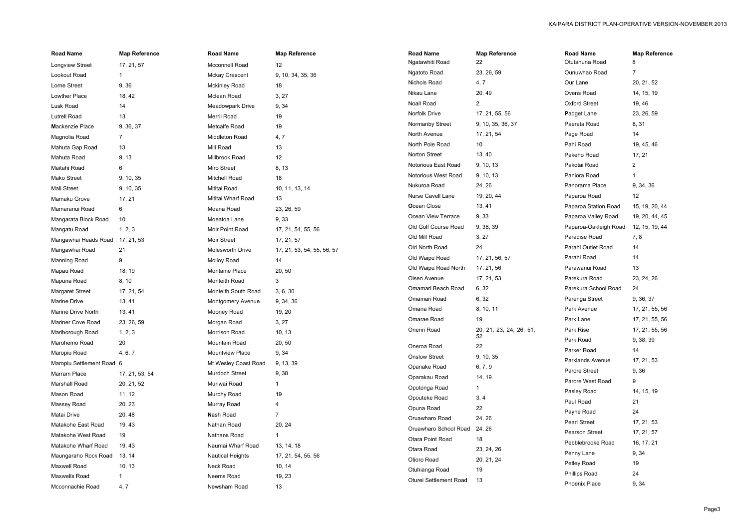| <b>Road Name</b>                | <b>Map Reference</b> | <b>Road Name</b>         | <b>Map Reference</b>       | <b>Road Name</b>       | <b>Map Reference</b>    | <b>Road Name</b>      | <b>Map Reference</b> |
|---------------------------------|----------------------|--------------------------|----------------------------|------------------------|-------------------------|-----------------------|----------------------|
| Longview Street                 | 17, 21, 57           | Mcconnell Road           | 12                         | Ngatawhiti Road        | 22                      | Otutahuna Road        | 8                    |
| Lookout Road                    |                      | <b>Mckay Crescent</b>    | 9, 10, 34, 35, 36          | Ngatoto Road           | 23, 26, 59              | Ounuwhao Road         | $\overline{7}$       |
| Lorne Street                    | 9,36                 | <b>Mckinley Road</b>     | 18                         | Nichols Road           | 4, 7                    | Our Lane              | 20, 21, 52           |
| Lowther Place                   | 18, 42               | Mclean Road              | 3, 27                      | Nikau Lane             | 20, 49                  | Ovens Road            | 14, 15, 19           |
| Lusk Road                       | 14                   | Meadowpark Drive         | 9, 34                      | Noall Road             | $\overline{2}$          | <b>Oxford Street</b>  | 19, 46               |
| <b>Lutrell Road</b>             | 13                   | Merril Road              | 19                         | Norfolk Drive          | 17, 21, 55, 56          | Padget Lane           | 23, 26, 59           |
| Mackenzie Place                 | 9, 36, 37            | Metcalfe Road            | 19                         | Normanby Street        | 9, 10, 35, 36, 37       | Paerata Road          | 8, 31                |
| Magnolia Road                   | 7                    | Middleton Road           | 4,7                        | North Avenue           | 17, 21, 54              | Page Road             | 14                   |
| Mahuta Gap Road                 | 13                   | Mill Road                | 13                         | North Pole Road        | 10                      | Pahi Road             | 19, 45, 46           |
| Mahuta Road                     | 9, 13                | Millbrook Road           | 12                         | Norton Street          | 13, 40                  | Pakeho Road           | 17, 21               |
| Maitahi Road                    | 6                    | Miro Street              | 8, 13                      | Notorious East Road    | 9, 10, 13               | Pakotai Road          | $\overline{a}$       |
| Mako Street                     | 9, 10, 35            | Mitchell Road            | 18                         | Notorious West Road    | 9, 10, 13               | Paniora Road          |                      |
| Mali Street                     | 9, 10, 35            | Mititai Road             | 10, 11, 13, 14             | Nukuroa Road           | 24, 26                  | Panorama Place        | 9, 34, 36            |
| Mamaku Grove                    | 17, 21               | Mititai Wharf Road       | 13                         | Nurse Cavell Lane      | 19, 20, 44              | Paparoa Road          | 12                   |
| Mamaranui Road                  | 6                    | Moana Road               | 23, 26, 59                 | Ocean Close            | 13, 41                  | Paparoa Station Road  | 15, 19, 20, 44       |
| Mangarata Block Road            | 10                   | Moeatoa Lane             | 9, 33                      | Ocean View Terrace     | 9, 33                   | Paparoa Valley Road   | 19, 20, 44, 45       |
| Mangatu Road                    | 1, 2, 3              | Moir Point Road          | 17, 21, 54, 55, 56         | Old Golf Course Road   | 9, 38, 39               | Paparoa-Oakleigh Road | 12, 15, 19, 44       |
| Mangawhai Heads Road 17, 21, 53 |                      | Moir Street              | 17, 21, 57                 | Old Mill Road          | 3, 27                   | Paradise Road         | 7, 8                 |
| Mangawhai Road                  | 21                   | Molesworth Drive         | 17, 21, 53, 54, 55, 56, 57 | Old North Road         | 24                      | Parahi Outlet Road    | 14                   |
| <b>Manning Road</b>             | 9                    | Molloy Road              | 14                         | Old Waipu Road         | 17, 21, 56, 57          | Parahi Road           | 14                   |
| Mapau Road                      | 18, 19               | Montaine Place           | 20, 50                     | Old Waipu Road North   | 17, 21, 56              | Parawanui Road        | 13                   |
| Mapuna Road                     | 8, 10                | Monteith Road            | $\mathbf{3}$               | Olsen Avenue           | 17, 21, 53              | Parekura Road         | 23, 24, 26           |
| <b>Margaret Street</b>          | 17, 21, 54           | Monteith South Road      | 3, 6, 30                   | Omamari Beach Road     | 6, 32                   | Parekura School Road  | 24                   |
| Marine Drive                    | 13, 41               | <b>Montgomery Avenue</b> | 9, 34, 36                  | Omamari Road           | 6, 32                   | Parenga Street        | 9, 36, 37            |
| Marine Drive North              | 13, 41               | Mooney Road              | 19, 20                     | Omana Road             | 8, 10, 11               | Park Avenue           | 17, 21, 55, 56       |
| Mariner Cove Road               | 23, 26, 59           | Morgan Road              | 3, 27                      | Omarae Road            | 19                      | Park Lane             | 17, 21, 55, 56       |
| Marlborough Road                | 1, 2, 3              | Morrison Road            | 10, 13                     | Oneriri Road           | 20, 21, 23, 24, 26, 51, | Park Rise             | 17, 21, 55, 56       |
| Marohemo Road                   | 20                   | Mountain Road            | 20, 50                     |                        | 52                      | Park Road             | 9, 38, 39            |
| Maropiu Road                    | 4, 6, 7              | Mountview Place          | 9, 34                      | Oneroa Road            | 22                      | Parker Road           | 14                   |
| Maropiu Settlement Road 6       |                      | Mt Wesley Coast Road     | 9, 13, 39                  | <b>Onslow Street</b>   | 9, 10, 35               | Parklands Avenue      | 17, 21, 53           |
| Marram Place                    | 17, 21, 53, 54       | Murdoch Street           | 9, 38                      | Opanake Road           | 6, 7, 9                 | Parore Street         | 9,36                 |
| Marshall Road                   | 20, 21, 52           | Muriwai Road             |                            | Oparakau Road          | 14, 19                  | Parore West Road      | 9                    |
| Mason Road                      | 11, 12               | Murphy Road              | 19                         | Opotonga Road          | 1                       | Pasley Road           | 14, 15, 19           |
| Massey Road                     | 20, 23               | Murray Road              | 4                          | Opouteke Road          | 3, 4                    | Paul Road             | 21                   |
| Matai Drive                     | 20, 48               | Nash Road                | $\overline{7}$             | Opuna Road             | 22                      | Payne Road            | 24                   |
| Matakohe East Road              | 19, 43               | Nathan Road              | 20, 24                     | Oruawharo Road         | 24, 26                  | Pearl Street          | 17, 21, 53           |
| Matakohe West Road              | 19                   | Nathans Road             |                            | Oruawharo School Road  | 24, 26                  | Pearson Street        | 17, 21, 57           |
| Matakohe Wharf Road             | 19, 43               | Naumai Wharf Road        | 13, 14, 18                 | Otara Point Road       | 18                      | Pebblebrooke Road     | 16, 17, 21           |
| Maungaraho Rock Road            | 13, 14               | <b>Nautical Heights</b>  | 17, 21, 54, 55, 56         | Otara Road             | 23, 24, 26              | Penny Lane            | 9, 34                |
| Maxwell Road                    | 10, 13               | Neck Road                | 10, 14                     | Otioro Road            | 20, 21, 24              | Petley Road           | 19                   |
| Maxwells Road                   |                      | Neems Road               | 19, 23                     | Otuhianga Road         | 19                      | <b>Phillips Road</b>  | 24                   |
| Mcconnachie Road                | 4, 7                 | Newsham Road             | 13                         | Oturei Settlement Road | 13                      | Phoenix Place         | 9, 34                |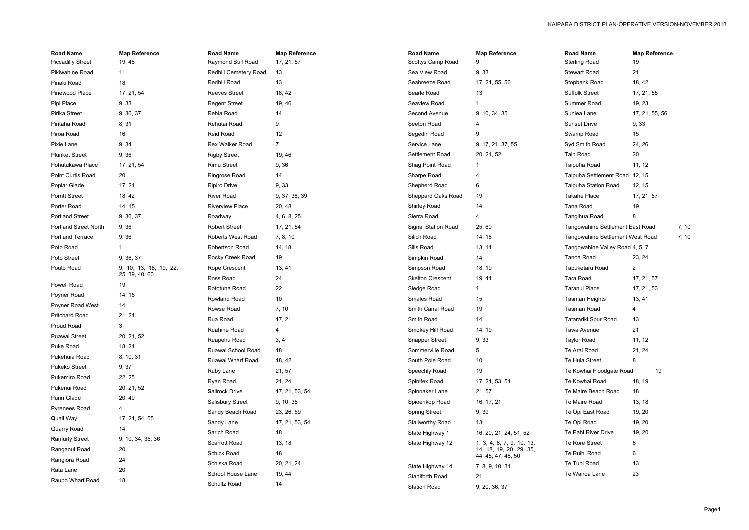| <b>Road Name</b>             | <b>Map Reference</b>   | <b>Road Name</b>        | <b>Map Reference</b> | <b>Road Name</b>        | <b>Map Reference</b>      | <b>Road Name</b>                 | <b>Map Reference</b> |       |
|------------------------------|------------------------|-------------------------|----------------------|-------------------------|---------------------------|----------------------------------|----------------------|-------|
| <b>Piccadilly Street</b>     | 19, 46                 | Raymond Bull Road       | 17, 21, 57           | Scottys Camp Road       | 9                         | <b>Sterling Road</b>             | 19                   |       |
| Pikiwahine Road              | 11                     | Redhill Cemetery Road   | 13                   | Sea View Road           | 9, 33                     | <b>Stewart Road</b>              | 21                   |       |
| Pinaki Road                  | 18                     | Redhill Road            | 13                   | Seabreeze Road          | 17, 21, 55, 56            | Stopbank Road                    | 18, 42               |       |
| Pinewood Place               | 17, 21, 54             | <b>Reeves Street</b>    | 18, 42               | Searle Road             | 13                        | <b>Suffolk Street</b>            | 17, 21, 55           |       |
| Pipi Place                   | 9, 33                  | <b>Regent Street</b>    | 19, 46               | Seaview Road            | -1                        | Summer Road                      | 19, 23               |       |
| Pirika Street                | 9, 36, 37              | Rehia Road              | 14                   | Second Avenue           | 9, 10, 34, 35             | Sunlea Lane                      | 17, 21, 55, 56       |       |
| Piritaha Road                | 8, 31                  | Rehutai Road            | 9                    | Seeton Road             |                           | <b>Sunset Drive</b>              | 9, 33                |       |
| Piroa Road                   | 16                     | Reid Road               | 12                   | Segedin Road            | 9                         | Swamp Road                       | 15                   |       |
| Pixie Lane                   | 9, 34                  | Rex Walker Road         | $\overline{7}$       | Service Lane            | 9, 17, 21, 37, 55         | Syd Smith Road                   | 24, 26               |       |
| <b>Plunket Street</b>        | 9,36                   | <b>Rigby Street</b>     | 19, 46               | Settlement Road         | 20, 21, 52                | Tain Road                        | 20                   |       |
| Pohutukawa Place             | 17, 21, 54             | <b>Rimu Street</b>      | 9,36                 | Shag Point Road         | -1                        | Taipuha Road                     | 11, 12               |       |
| Point Curtis Road            | 20                     | Ringrose Road           | 14                   | Sharpe Road             | 4                         | Taipuha Settlement Road          | 12, 15               |       |
| Poplar Glade                 | 17, 21                 | <b>Ripiro Drive</b>     | 9, 33                | Shepherd Road           | 6                         | Taipuha Station Road             | 12, 15               |       |
| <b>Porritt Street</b>        | 18, 42                 | <b>River Road</b>       | 9, 37, 38, 39        | Sheppard Oaks Road      | 19                        | <b>Takahe Place</b>              | 17, 21, 57           |       |
| Porter Road                  | 14, 15                 | <b>Riverview Place</b>  | 20, 48               | <b>Shirley Road</b>     | 14                        | Tana Road                        | 19                   |       |
| <b>Portland Street</b>       | 9, 36, 37              | Roadway                 | 4, 6, 8, 25          | Sierra Road             | $\overline{4}$            | Tangihua Road                    | 8                    |       |
| <b>Portland Street North</b> | 9,36                   | <b>Robert Street</b>    | 17, 21, 54           | Signal Station Road     | 25,60                     | Tangowahine Settlement East Road |                      | 7, 10 |
| <b>Portland Terrace</b>      | 9,36                   | Roberts West Road       | 7, 8, 10             | Silich Road             | 14, 18                    | Tangowahine Settlement West Road |                      | 7, 10 |
| Poto Road                    | $\mathbf 1$            | Robertson Road          | 14, 18               | Sills Road              | 13, 14                    | Tangowahine Valley Road 4, 5, 7  |                      |       |
| Poto Street                  | 9, 36, 37              | Rocky Creek Road        | 19                   | Simpkin Road            | 14                        | Tanoa Road                       | 23, 24               |       |
| Pouto Road                   | 9, 10, 13, 18, 19, 22, | Rope Crescent           | 13, 41               | Simpson Road            | 18, 19                    | Tapuketaru Road                  | $\overline{2}$       |       |
|                              | 25, 39, 40, 60         | Ross Road               | 24                   | <b>Skelton Crescent</b> | 19, 44                    | Tara Road                        | 17, 21, 57           |       |
| Powell Road                  | 19                     | Rototuna Road           | 22                   | Sledge Road             |                           | Taranui Place                    | 17, 21, 53           |       |
| Poyner Road                  | 14, 15                 | Rowland Road            | 10                   | Smales Road             | 15                        | <b>Tasman Heights</b>            | 13, 41               |       |
| Poyner Road West             | 14                     | Rowse Road              | 7, 10                | Smith Canal Road        | 19                        | <b>Tasman Road</b>               | 4                    |       |
| <b>Pritchard Road</b>        | 21, 24                 | Rua Road                | 17, 21               | Smith Road              | 14                        | Tatarariki Spur Road             | 13                   |       |
| Proud Road                   | 3                      | Ruahine Road            | 4                    | Smokey Hill Road        | 14, 19                    | Tawa Avenue                      | 21                   |       |
| Puawai Street                | 20, 21, 52             | Ruapehu Road            | 3, 4                 | <b>Snapper Street</b>   | 9, 33                     | <b>Taylor Road</b>               | 11, 12               |       |
| Puke Road                    | 18, 24                 | Ruawai School Road      | 18                   | Sommerville Road        | 5                         | Te Arai Road                     | 21, 24               |       |
| Pukehuia Road                | 8, 10, 31              | Ruawai Wharf Road       | 18, 42               | South Pole Road         | 10                        | Te Huia Street                   | 8                    |       |
| Pukeko Street                | 9, 37                  | Ruby Lane               | 21, 57               | Speechly Road           | 19                        | Te Kowhai Floodgate Road         | 19                   |       |
| Pukemiro Road                | 22, 25                 | Ryan Road               | 21, 24               | Spinifex Road           | 17, 21, 53, 54            | Te Kowhai Road                   | 18, 19               |       |
| Pukenui Road                 | 20, 21, 52             | <b>Sailrock Drive</b>   | 17, 21, 53, 54       | Spinnaker Lane          | 21, 57                    | Te Maire Beach Road              | 18                   |       |
| Puriri Glade                 | 20, 49                 | <b>Salisbury Street</b> | 9, 10, 35            | Spioenkop Road          | 16, 17, 21                | Te Maire Road                    | 13, 18               |       |
| Pyrenees Road                | 4                      | Sandy Beach Road        | 23, 26, 59           | <b>Spring Street</b>    | 9, 39                     | Te Opi East Road                 | 19, 20               |       |
| <b>Quail Way</b>             | 17, 21, 54, 55         | Sandy Lane              | 17, 21, 53, 54       | <b>Stallworthy Road</b> | 13                        | Te Opi Road                      | 19, 20               |       |
| Quarry Road                  | 14                     | Sarich Road             | 18                   | State Highway 1         | 16, 20, 21, 24, 51, 52    | Te Pahi River Drive              | 19, 20               |       |
| <b>Ranfurly Street</b>       | 9, 10, 34, 35, 36      | Scarrott Road           | 13, 18               | State Highway 12        | 1, 3, 4, 6, 7, 9, 10, 13, | Te Rore Street                   | 8                    |       |
| Ranganui Road                | 20                     | Schick Road             | 18                   |                         | 14, 18, 19, 20, 29, 35,   | Te Ruihi Road                    | 6                    |       |
| Rangiora Road                | 24                     | Schiska Road            | 20, 21, 24           |                         | 44, 45, 47, 48, 50        | Te Tuhi Road                     | 13                   |       |
| Rata Lane                    | 20                     | School House Lane       | 19, 44               | State Highway 14        | 7, 8, 9, 10, 31           | Te Wairoa Lane                   | 23                   |       |
| Raupo Wharf Road             | 18                     |                         |                      | Staniforth Road         | 21                        |                                  |                      |       |

Station Road 9, 20, 36, 37

Schultz Road

 $14$